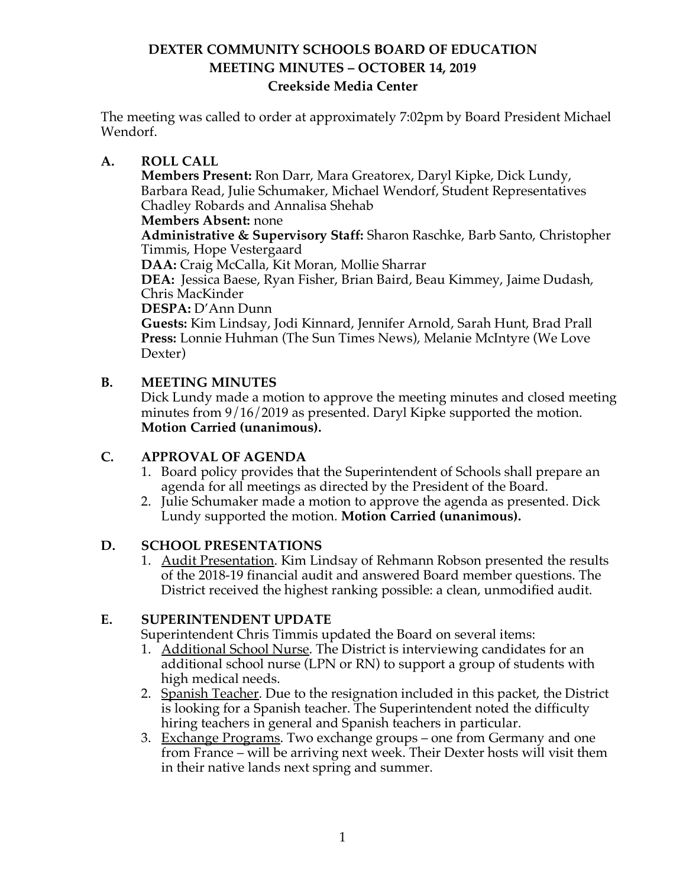The meeting was called to order at approximately 7:02pm by Board President Michael Wendorf.

### **A. ROLL CALL**

**Members Present:** Ron Darr, Mara Greatorex, Daryl Kipke, Dick Lundy, Barbara Read, Julie Schumaker, Michael Wendorf, Student Representatives Chadley Robards and Annalisa Shehab

**Members Absent:** none **Administrative & Supervisory Staff:** Sharon Raschke, Barb Santo, Christopher Timmis, Hope Vestergaard

**DAA:** Craig McCalla, Kit Moran, Mollie Sharrar

**DEA:** Jessica Baese, Ryan Fisher, Brian Baird, Beau Kimmey, Jaime Dudash, Chris MacKinder

**DESPA:** D'Ann Dunn

**Guests:** Kim Lindsay, Jodi Kinnard, Jennifer Arnold, Sarah Hunt, Brad Prall **Press:** Lonnie Huhman (The Sun Times News), Melanie McIntyre (We Love Dexter)

## **B. MEETING MINUTES**

Dick Lundy made a motion to approve the meeting minutes and closed meeting minutes from 9/16/2019 as presented. Daryl Kipke supported the motion. **Motion Carried (unanimous).**

# **C. APPROVAL OF AGENDA**

- 1. Board policy provides that the Superintendent of Schools shall prepare an agenda for all meetings as directed by the President of the Board.
- 2. Julie Schumaker made a motion to approve the agenda as presented. Dick Lundy supported the motion. **Motion Carried (unanimous).**

### **D. SCHOOL PRESENTATIONS**

1. Audit Presentation. Kim Lindsay of Rehmann Robson presented the results of the 2018-19 financial audit and answered Board member questions. The District received the highest ranking possible: a clean, unmodified audit.

### **E. SUPERINTENDENT UPDATE**

Superintendent Chris Timmis updated the Board on several items:

- 1. Additional School Nurse. The District is interviewing candidates for an additional school nurse (LPN or RN) to support a group of students with high medical needs.
- 2. Spanish Teacher. Due to the resignation included in this packet, the District is looking for a Spanish teacher. The Superintendent noted the difficulty hiring teachers in general and Spanish teachers in particular.
- 3. Exchange Programs. Two exchange groups one from Germany and one from France – will be arriving next week. Their Dexter hosts will visit them in their native lands next spring and summer.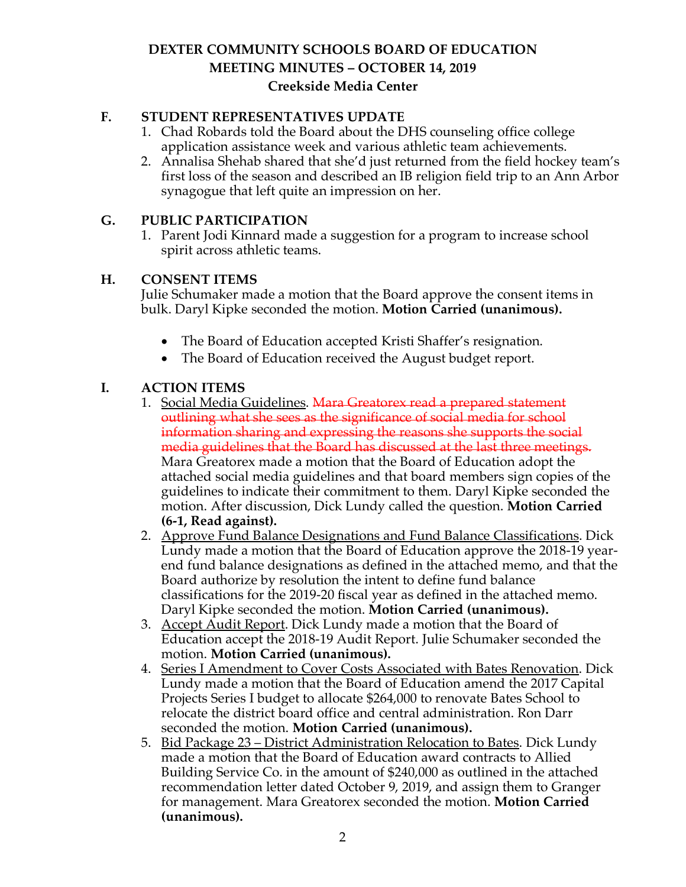### **F. STUDENT REPRESENTATIVES UPDATE**

- 1. Chad Robards told the Board about the DHS counseling office college application assistance week and various athletic team achievements.
- 2. Annalisa Shehab shared that she'd just returned from the field hockey team's first loss of the season and described an IB religion field trip to an Ann Arbor synagogue that left quite an impression on her.

#### **G. PUBLIC PARTICIPATION**

1. Parent Jodi Kinnard made a suggestion for a program to increase school spirit across athletic teams.

#### **H. CONSENT ITEMS**

Julie Schumaker made a motion that the Board approve the consent items in bulk. Daryl Kipke seconded the motion. **Motion Carried (unanimous).**

- The Board of Education accepted Kristi Shaffer's resignation.
- The Board of Education received the August budget report.

#### **I. ACTION ITEMS**

- 1. Social Media Guidelines. Mara Greatorex read a prepared statement outlining what she sees as the significance of social media for school information sharing and expressing the reasons she supports the social media guidelines that the Board has discussed at the last three meetings. Mara Greatorex made a motion that the Board of Education adopt the attached social media guidelines and that board members sign copies of the guidelines to indicate their commitment to them. Daryl Kipke seconded the motion. After discussion, Dick Lundy called the question. **Motion Carried (6-1, Read against).**
- 2. Approve Fund Balance Designations and Fund Balance Classifications. Dick Lundy made a motion that the Board of Education approve the 2018-19 yearend fund balance designations as defined in the attached memo, and that the Board authorize by resolution the intent to define fund balance classifications for the 2019-20 fiscal year as defined in the attached memo. Daryl Kipke seconded the motion. **Motion Carried (unanimous).**
- 3. Accept Audit Report. Dick Lundy made a motion that the Board of Education accept the 2018-19 Audit Report. Julie Schumaker seconded the motion. **Motion Carried (unanimous).**
- 4. Series I Amendment to Cover Costs Associated with Bates Renovation. Dick Lundy made a motion that the Board of Education amend the 2017 Capital Projects Series I budget to allocate \$264,000 to renovate Bates School to relocate the district board office and central administration. Ron Darr seconded the motion. **Motion Carried (unanimous).**
- 5. Bid Package 23 District Administration Relocation to Bates. Dick Lundy made a motion that the Board of Education award contracts to Allied Building Service Co. in the amount of \$240,000 as outlined in the attached recommendation letter dated October 9, 2019, and assign them to Granger for management. Mara Greatorex seconded the motion. **Motion Carried (unanimous).**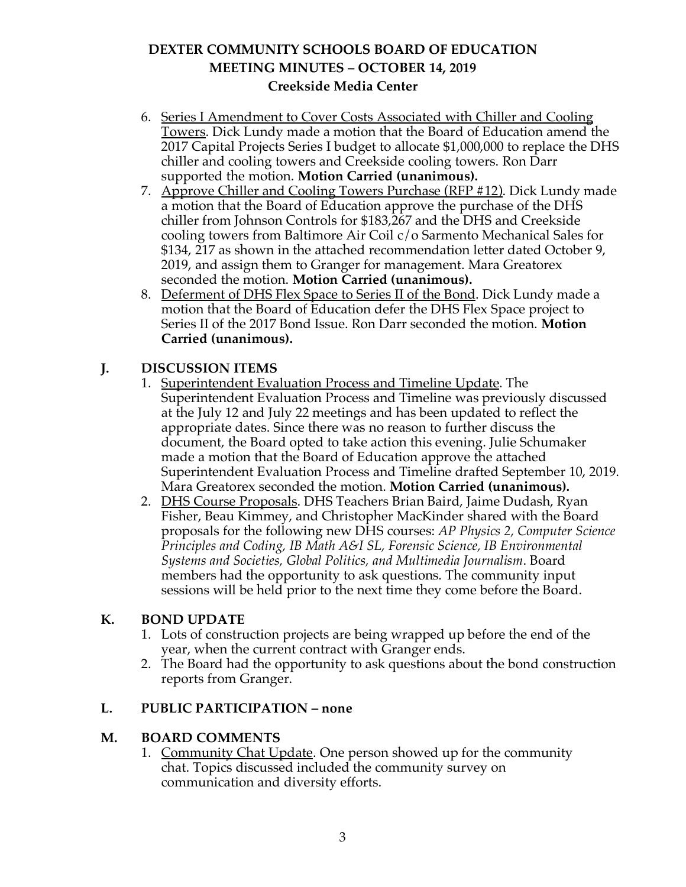- 6. Series I Amendment to Cover Costs Associated with Chiller and Cooling Towers. Dick Lundy made a motion that the Board of Education amend the 2017 Capital Projects Series I budget to allocate \$1,000,000 to replace the DHS chiller and cooling towers and Creekside cooling towers. Ron Darr supported the motion. **Motion Carried (unanimous).**
- 7. Approve Chiller and Cooling Towers Purchase (RFP #12). Dick Lundy made a motion that the Board of Education approve the purchase of the DHS chiller from Johnson Controls for \$183,267 and the DHS and Creekside cooling towers from Baltimore Air Coil c/o Sarmento Mechanical Sales for \$134, 217 as shown in the attached recommendation letter dated October 9, 2019, and assign them to Granger for management. Mara Greatorex seconded the motion. **Motion Carried (unanimous).**
- 8. Deferment of DHS Flex Space to Series II of the Bond. Dick Lundy made a motion that the Board of Education defer the DHS Flex Space project to Series II of the 2017 Bond Issue. Ron Darr seconded the motion. **Motion Carried (unanimous).**

## **J. DISCUSSION ITEMS**

- 1. Superintendent Evaluation Process and Timeline Update. The Superintendent Evaluation Process and Timeline was previously discussed at the July 12 and July 22 meetings and has been updated to reflect the appropriate dates. Since there was no reason to further discuss the document, the Board opted to take action this evening. Julie Schumaker made a motion that the Board of Education approve the attached Superintendent Evaluation Process and Timeline drafted September 10, 2019. Mara Greatorex seconded the motion. **Motion Carried (unanimous).**
- 2. DHS Course Proposals. DHS Teachers Brian Baird, Jaime Dudash, Ryan Fisher, Beau Kimmey, and Christopher MacKinder shared with the Board proposals for the following new DHS courses: *AP Physics 2, Computer Science Principles and Coding, IB Math A&I SL, Forensic Science, IB Environmental Systems and Societies, Global Politics, and Multimedia Journalism*. Board members had the opportunity to ask questions. The community input sessions will be held prior to the next time they come before the Board.

### **K. BOND UPDATE**

- 1. Lots of construction projects are being wrapped up before the end of the year, when the current contract with Granger ends.
- 2. The Board had the opportunity to ask questions about the bond construction reports from Granger.

# **L. PUBLIC PARTICIPATION – none**

### **M. BOARD COMMENTS**

1. Community Chat Update. One person showed up for the community chat. Topics discussed included the community survey on communication and diversity efforts.